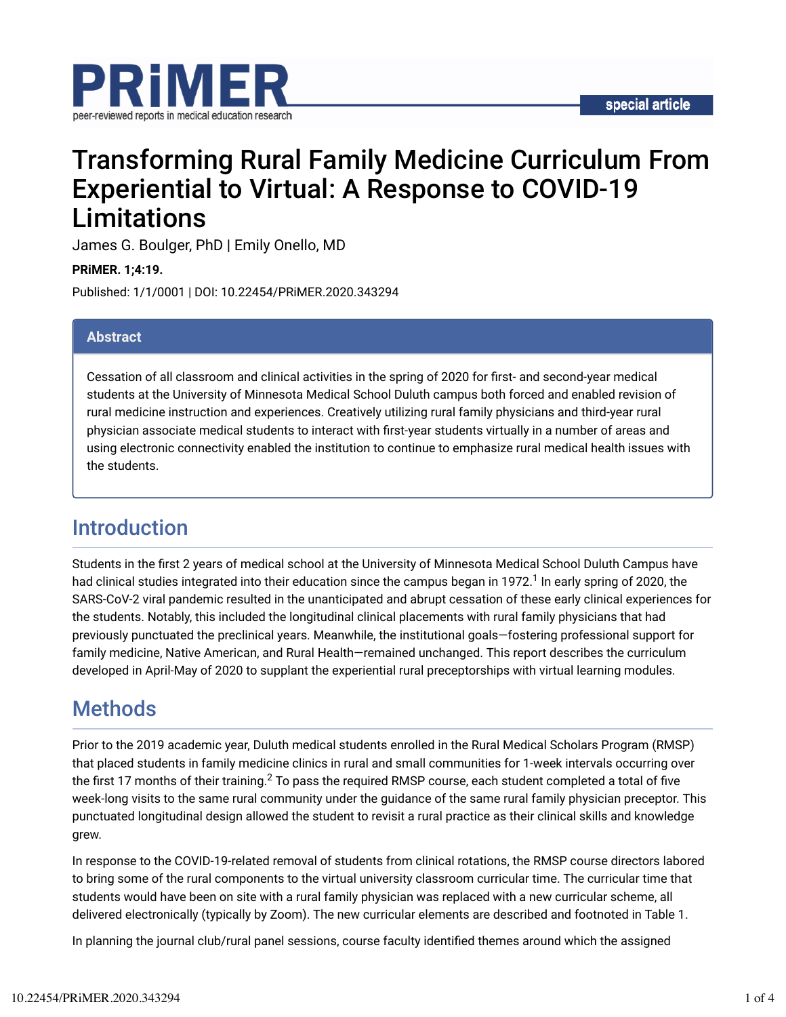

# Transforming Rural Family Medicine Curriculum From Experiential to Virtual: A Response to COVID-19 Limitations

James G. Boulger, PhD | Emily Onello, MD

**PRiMER. 1;4:19.**

Published: 1/1/0001 | DOI: 10.22454/PRiMER.2020.343294

#### **Abstract**

Cessation of all classroom and clinical activities in the spring of 2020 for first- and second-year medical students at the University of Minnesota Medical School Duluth campus both forced and enabled revision of rural medicine instruction and experiences. Creatively utilizing rural family physicians and third-year rural physician associate medical students to interact with first-year students virtually in a number of areas and using electronic connectivity enabled the institution to continue to emphasize rural medical health issues with the students.

## Introduction

Students in the first 2 years of medical school at the University of Minnesota Medical School Duluth Campus have had clinical studies integrated into their education since the campus began in 1972. $^1$  In early spring of 2020, the SARS-CoV-2 viral pandemic resulted in the unanticipated and abrupt cessation of these early clinical experiences for the students. Notably, this included the longitudinal clinical placements with rural family physicians that had previously punctuated the preclinical years. Meanwhile, the institutional goals—fostering professional support for family medicine, Native American, and Rural Health—remained unchanged. This report describes the curriculum developed in April-May of 2020 to supplant the experiential rural preceptorships with virtual learning modules.

## **Methods**

Prior to the 2019 academic year, Duluth medical students enrolled in the Rural Medical Scholars Program (RMSP) that placed students in family medicine clinics in rural and small communities for 1-week intervals occurring over the first 17 months of their training. $^2$  To pass the required RMSP course, each student completed a total of five week-long visits to the same rural community under the guidance of the same rural family physician preceptor. This punctuated longitudinal design allowed the student to revisit a rural practice as their clinical skills and knowledge grew.

In response to the COVID-19-related removal of students from clinical rotations, the RMSP course directors labored to bring some of the rural components to the virtual university classroom curricular time. The curricular time that students would have been on site with a rural family physician was replaced with a new curricular scheme, all delivered electronically (typically by Zoom). The new curricular elements are described and footnoted in Table 1.

In planning the journal club/rural panel sessions, course faculty identified themes around which the assigned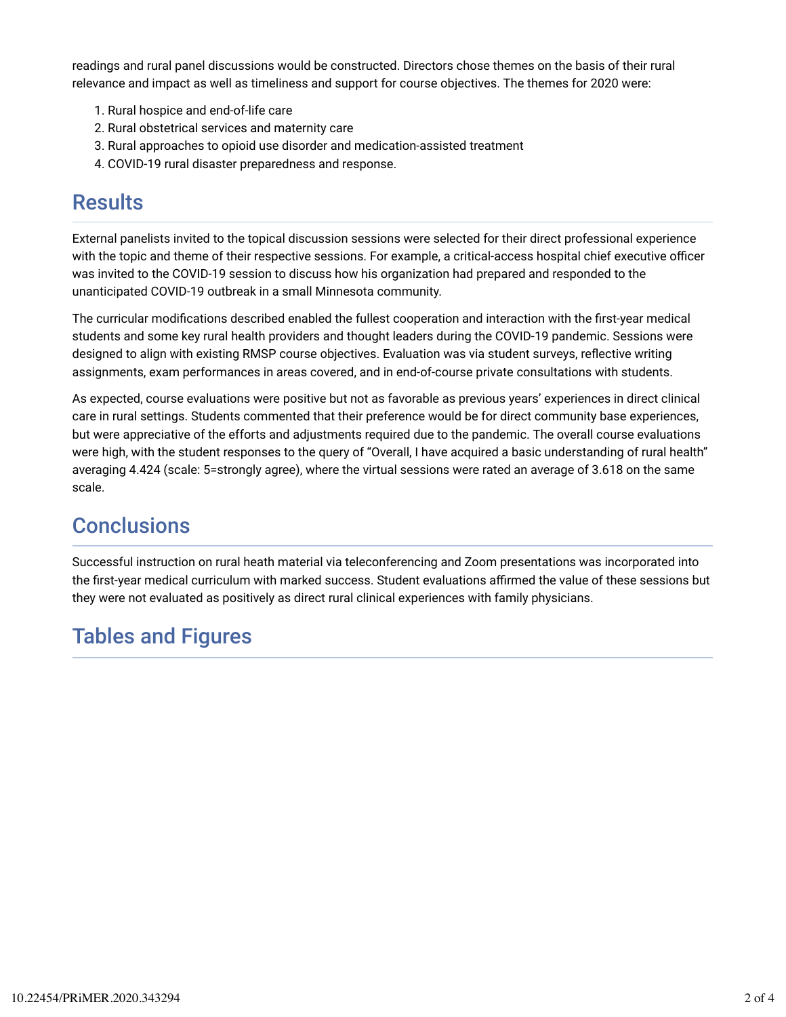readings and rural panel discussions would be constructed. Directors chose themes on the basis of their rural relevance and impact as well as timeliness and support for course objectives. The themes for 2020 were:

- 1. Rural hospice and end-of-life care
- 2. Rural obstetrical services and maternity care
- 3. Rural approaches to opioid use disorder and medication-assisted treatment
- 4. COVID-19 rural disaster preparedness and response.

### **Results**

External panelists invited to the topical discussion sessions were selected for their direct professional experience with the topic and theme of their respective sessions. For example, a critical-access hospital chief executive officer was invited to the COVID-19 session to discuss how his organization had prepared and responded to the unanticipated COVID-19 outbreak in a small Minnesota community.

The curricular modifications described enabled the fullest cooperation and interaction with the first-year medical students and some key rural health providers and thought leaders during the COVID-19 pandemic. Sessions were designed to align with existing RMSP course objectives. Evaluation was via student surveys, reflective writing assignments, exam performances in areas covered, and in end-of-course private consultations with students.

As expected, course evaluations were positive but not as favorable as previous years' experiences in direct clinical care in rural settings. Students commented that their preference would be for direct community base experiences, but were appreciative of the efforts and adjustments required due to the pandemic. The overall course evaluations were high, with the student responses to the query of "Overall, I have acquired a basic understanding of rural health" averaging 4.424 (scale: 5=strongly agree), where the virtual sessions were rated an average of 3.618 on the same scale.

## **Conclusions**

Successful instruction on rural heath material via teleconferencing and Zoom presentations was incorporated into the first-year medical curriculum with marked success. Student evaluations affirmed the value of these sessions but they were not evaluated as positively as direct rural clinical experiences with family physicians.

## Tables and Figures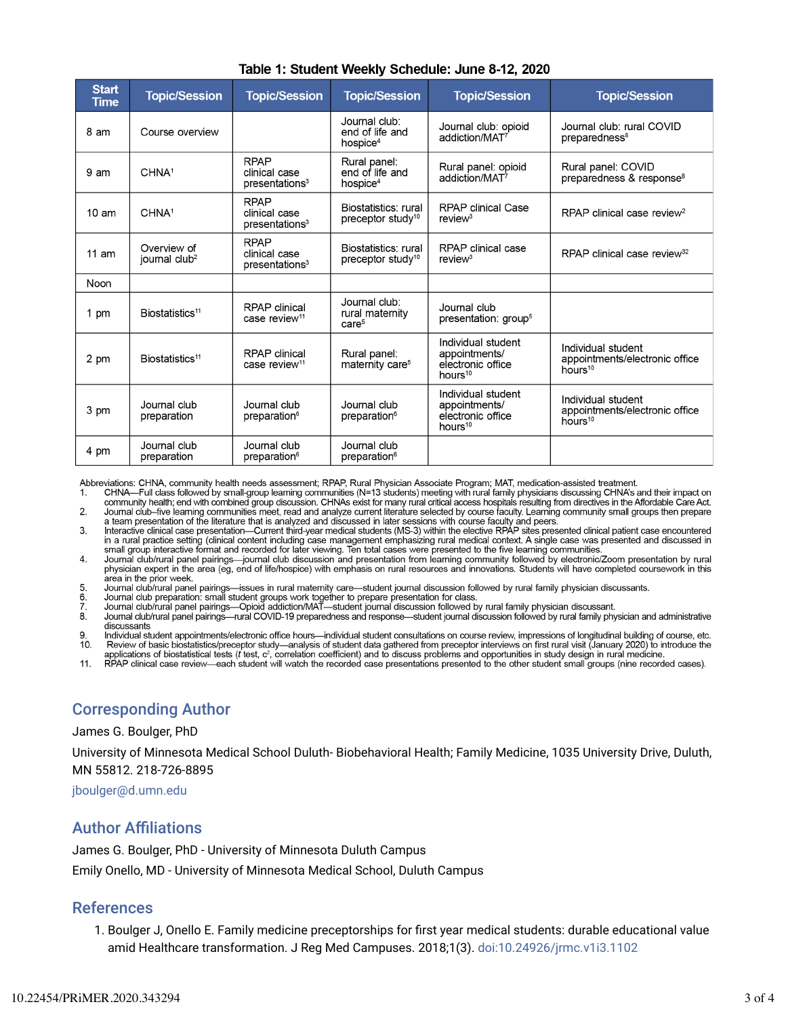| <b>Start</b><br><b>Time</b> | <b>Topic/Session</b>                     | <b>Topic/Session</b>                                       | <b>Topic/Session</b>                                     | <b>Topic/Session</b>                                                            | <b>Topic/Session</b>                                                        |
|-----------------------------|------------------------------------------|------------------------------------------------------------|----------------------------------------------------------|---------------------------------------------------------------------------------|-----------------------------------------------------------------------------|
| 8 am                        | Course overview                          |                                                            | Journal club:<br>end of life and<br>hospice <sup>4</sup> | Journal club: opioid<br>addiction/MAT <sup>7</sup>                              | Journal club: rural COVID<br>preparedness <sup>8</sup>                      |
| 9 am                        | CHNA <sup>1</sup>                        | <b>RPAP</b><br>clinical case<br>presentations <sup>3</sup> | Rural panel:<br>end of life and<br>hospice <sup>4</sup>  | Rural panel: opioid<br>addiction/MAT <sup>7</sup>                               | Rural panel: COVID<br>preparedness & response <sup>8</sup>                  |
| 10 <sub>am</sub>            | CHNA <sup>1</sup>                        | <b>RPAP</b><br>clinical case<br>presentations <sup>3</sup> | Biostatistics: rural<br>preceptor study <sup>10</sup>    | <b>RPAP clinical Case</b><br>review <sup>3</sup>                                | RPAP clinical case review <sup>2</sup>                                      |
| 11 am                       | Overview of<br>journal club <sup>2</sup> | <b>RPAP</b><br>clinical case<br>presentations <sup>3</sup> | Biostatistics: rural<br>preceptor study <sup>10</sup>    | <b>RPAP</b> clinical case<br>review <sup>3</sup>                                | RPAP clinical case review <sup>32</sup>                                     |
| Noon                        |                                          |                                                            |                                                          |                                                                                 |                                                                             |
| 1 pm                        | Biostatistics <sup>11</sup>              | <b>RPAP</b> clinical<br>case review <sup>11</sup>          | Journal club:<br>rural maternity<br>care <sup>5</sup>    | Journal club<br>presentation: group <sup>5</sup>                                |                                                                             |
| 2 pm                        | Biostatistics <sup>11</sup>              | <b>RPAP</b> clinical<br>case review <sup>11</sup>          | Rural panel:<br>maternity care <sup>5</sup>              | Individual student<br>appointments/<br>electronic office<br>hours $10$          | Individual student<br>appointments/electronic office<br>hours $10$          |
| 3 pm                        | Journal club<br>preparation              | Journal club<br>preparation <sup>6</sup>                   | Journal club<br>preparation <sup>6</sup>                 | Individual student<br>appointments/<br>electronic office<br>hours <sup>10</sup> | Individual student<br>appointments/electronic office<br>hours <sup>10</sup> |
| 4 pm                        | Journal club<br>preparation              | Journal club<br>preparation <sup>6</sup>                   | Journal club<br>preparation <sup>6</sup>                 |                                                                                 |                                                                             |

#### Table 1: Student Weekly Schedule: June 8-12, 2020

Abbreviations: CHNA, community health needs assessment; RPAP, Rural Physician Associate Program; MAT, medication-assisted treatment.

CHNA—Full class followed by small-group learning communities (N=13 students) meeting with rural family physicians discussing CHNA's and their impact on 1 community health; end with combined group discussion. CHNAs exist for many rural critical access hospitals resulting from directives in the Affordable Care Act.  $2.$ Journal club–five learning communities meet, read and analyze current literature selected by course faculty. Learning community small groups then prepare

a team presentation of the literature that is analyzed and discussed in later sessions with course faculty and peers.<br>Interactive clinical case presentation—Current third-year medical students (MS-3) within the elective RP  $3<sub>1</sub>$ small group interactive format and recorded for later viewing. Ten total cases were presented to the five learning communities

Journal club/rural panel pairings—journal club discussion and presentation from learning community followed by electronic/Zoom presentation by rural  $\overline{4}$ . physician expert in the area (eg, end of life/hospice) with emphasis on rural resources and innovations. Students will have completed coursework in this area in the prior week.

- Journal club/rural panel pairings—issues in rural maternity care—student journal discussion followed by rural family physician discussants. 5
- Journal club preparation: small student groups work together to prepare presentation for class.
- Journal club/rural panel pairings—Opioid addiction/MAT—student journal discussion followed by rural family physician discussant.

8. Journal club/rural panel pairings—rural COVID-19 preparedness and response—student journal discussion followed by rural family physician and administrative discussants

Individual student appointments/electronic office hours—individual student consultations on course review, impressions of longitudinal building of course, etc. Review of basic biostatistics/preceptor study—analysis of student data gathered from preceptor interviews on first rural visit (January 2020) to introduce the<br>applications of biostatistical tests (*t* test, *c*<sup>2</sup>, correla  $10<sub>1</sub>$ 

 $11$ 

### Corresponding Author

James G. Boulger, PhD

University of Minnesota Medical School Duluth- Biobehavioral Health; Family Medicine, 1035 University Drive, Duluth, MN 55812. 218-726-8895

jboulger@d.umn.edu

### **Author Affiliations**

James G. Boulger, PhD - University of Minnesota Duluth Campus Emily Onello, MD - University of Minnesota Medical School, Duluth Campus

### References

1. Boulger J, Onello E. Family medicine preceptorships for first year medical students: durable educational value amid Healthcare transformation. J Reg Med Campuses. 2018;1(3). doi:10.24926/jrmc.v1i3.1102